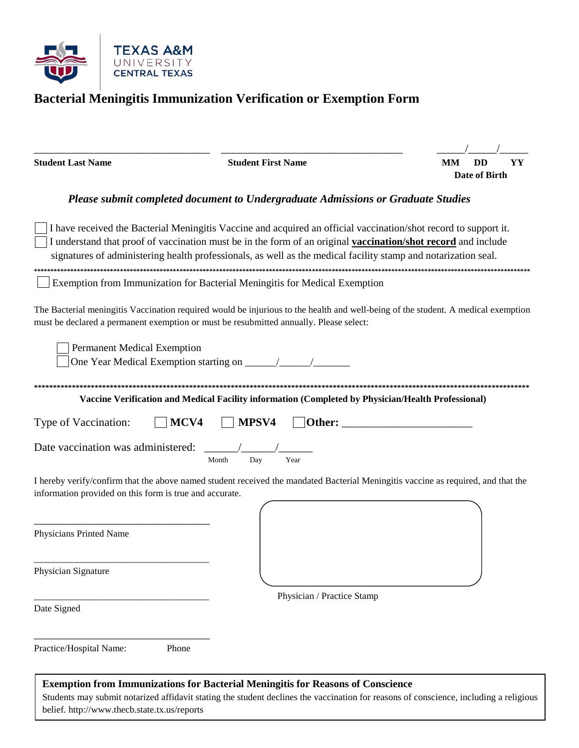

# Bacterial Meningitis Immunization Verification or Exemption Form

| <b>Student Last Name</b>                                                         | <b>Student First Name</b>                                                                                                                                                                                                                                                                                                                           | <b>DD</b><br>MМ<br>YY<br>Date of Birth |
|----------------------------------------------------------------------------------|-----------------------------------------------------------------------------------------------------------------------------------------------------------------------------------------------------------------------------------------------------------------------------------------------------------------------------------------------------|----------------------------------------|
| Please submit completed document to Undergraduate Admissions or Graduate Studies |                                                                                                                                                                                                                                                                                                                                                     |                                        |
|                                                                                  | I have received the Bacterial Meningitis Vaccine and acquired an official vaccination/shot record to support it.<br>I understand that proof of vaccination must be in the form of an original vaccination/shot record and include<br>signatures of administering health professionals, as well as the medical facility stamp and notarization seal. |                                        |
|                                                                                  | Exemption from Immunization for Bacterial Meningitis for Medical Exemption                                                                                                                                                                                                                                                                          |                                        |
|                                                                                  | The Bacterial meningitis Vaccination required would be injurious to the health and well-being of the student. A medical exemption<br>must be declared a permanent exemption or must be resubmitted annually. Please select:                                                                                                                         |                                        |
| <b>Permanent Medical Exemption</b>                                               |                                                                                                                                                                                                                                                                                                                                                     |                                        |
|                                                                                  | Vaccine Verification and Medical Facility information (Completed by Physician/Health Professional)                                                                                                                                                                                                                                                  |                                        |
| Type of Vaccination:                                                             | MCV4<br>MPSV4<br>Other:                                                                                                                                                                                                                                                                                                                             |                                        |
| Date vaccination was administered:                                               | Year<br>Month<br>Day                                                                                                                                                                                                                                                                                                                                |                                        |
| information provided on this form is true and accurate.                          | I hereby verify/confirm that the above named student received the mandated Bacterial Meningitis vaccine as required, and that the                                                                                                                                                                                                                   |                                        |
| Physicians Printed Name                                                          |                                                                                                                                                                                                                                                                                                                                                     |                                        |
| Physician Signature                                                              |                                                                                                                                                                                                                                                                                                                                                     |                                        |
| Date Signed                                                                      | Physician / Practice Stamp                                                                                                                                                                                                                                                                                                                          |                                        |
| Phone<br>Practice/Hospital Name:                                                 |                                                                                                                                                                                                                                                                                                                                                     |                                        |
|                                                                                  | Exemption from Immunizations for Bacterial Meningitis for Reasons of Conscience                                                                                                                                                                                                                                                                     |                                        |

Students may submit notarized affidavit stating the student declines the vaccination for reasons of conscience, including a religious belief. http://www.thecb.state.tx.us/reports